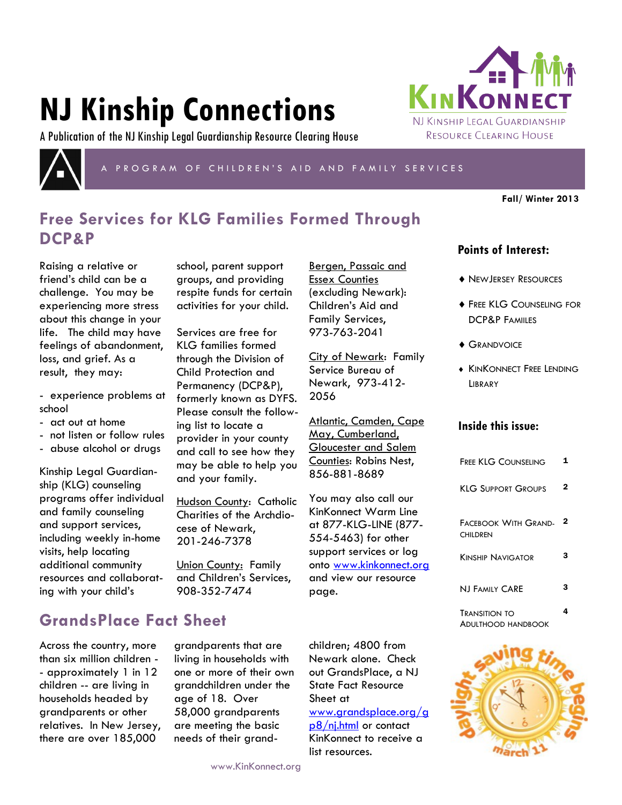# **NJ Kinship Connections**

A Publication of the NJ Kinship Legal Guardianship Resource Clearing House



P R O G R A M O F C H I L D R E N ' S A I D A N D F A M I L Y S E R V I C E S

Bergen, Passaic and Essex Counties (excluding Newark): Children's Aid and Family Services, 973-763-2041

City of Newark: Family Service Bureau of Newark, 973-412-

Atlantic, Camden, Cape May, Cumberland, Gloucester and Salem Counties: Robins Nest,

856-881-8689

You may also call our KinKonnect Warm Line at 877-KLG-LINE (877- 554-5463) for other support services or log onto www.kinkonnect.org and view our resource

2056

page.

**Fall/ Winter 2013**

## **Free Services for KLG Families Formed Through DCP&P**

Raising a relative or friend's child can be a challenge. You may be experiencing more stress about this change in your life. The child may have feelings of abandonment, loss, and grief. As a result, they may:

- experience problems at school

- act out at home
- not listen or follow rules
- abuse alcohol or drugs

Kinship Legal Guardianship (KLG) counseling programs offer individual and family counseling and support services, including weekly in-home visits, help locating additional community resources and collaborating with your child's

school, parent support groups, and providing respite funds for certain activities for your child.

Services are free for KLG families formed through the Division of Child Protection and Permanency (DCP&P), formerly known as DYFS. Please consult the following list to locate a provider in your county and call to see how they may be able to help you and your family.

Hudson County: Catholic Charities of the Archdiocese of Newark, 201-246-7378

Union County: Family and Children's Services, 908-352-7474

**GrandsPlace Fact Sheet**

Across the country, more than six million children - - approximately 1 in 12 children -- are living in households headed by grandparents or other relatives. In New Jersey, there are over 185,000

grandparents that are living in households with one or more of their own grandchildren under the age of 18. Over 58,000 grandparents are meeting the basic needs of their grandchildren; 4800 from Newark alone. Check out GrandsPlace, a NJ State Fact Resource Sheet at www.grandsplace[.org/g](http://www.grandsplace.org/gp8/nj.html) [p8/nj.html](http://www.grandsplace.org/gp8/nj.html) or contact KinKonnect to receive a list resources.

## **Points of Interest:**

- ◆ NEWJERSEY RESOURCES
- **FREE KLG COUNSELING FOR** DCP&P FAMIILES
- **GRANDVOICE**
- **KINKONNECT FREE LENDING** LIBRARY

#### **Inside this issue:**

| <b>FREE KLG COUNSELING</b>                        | 1 |
|---------------------------------------------------|---|
| <b>KLG SUPPORT GROUPS</b>                         | 2 |
| <b>FACEBOOK WITH GRAND-</b><br><b>CHILDREN</b>    | 2 |
| <b>KINSHIP NAVIGATOR</b>                          | 3 |
| <b>NJ FAMILY CARE</b>                             | з |
| <b>TRANSITION TO</b><br><b>ADULTHOOD HANDBOOK</b> | 4 |



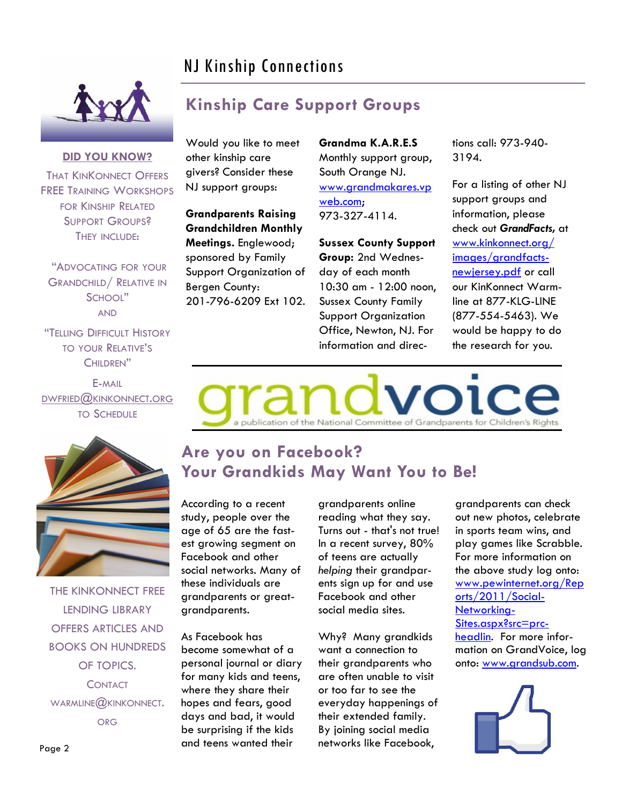# NJ Kinship Connections

**Kinship Care Support Groups**



### **DID YOU KNOW?**

THAT KINKONNECT OFFERS FREE TRAINING WORKSHOPS FOR KINSHIP RELATED SUPPORT GROUPS? THEY INCLUDE:

"ADVOCATING FOR YOUR GRANDCHILD/ RELATIVE IN SCHOOL" AND

"TELLING DIFFICULT HISTORY TO YOUR RELATIVE'S CHILDREN"

E-MAIL DWFRIED@KINKONNECT.ORG TO SCHEDULE

Would you like to meet other kinship care givers? Consider these NJ support groups:

**Grandparents Raising Grandchildren Monthly Meetings.** Englewood; sponsored by Family Support Organization of Bergen County: 201-796-6209 Ext 102. **Grandma K.A.R.E.S** Monthly support group, South Orange NJ. [www.grandmakares.vp](http://www.grandmakares.vpweb.com) [web.com;](http://www.grandmakares.vpweb.com) 973-327-4114.

**Sussex County Support** 

**Group:** 2nd Wednesday of each month 10:30 am - 12:00 noon, Sussex County Family Support Organization Office, Newton, NJ. For information and directions call: 973-940- 3194.

For a listing of other NJ support groups and information, please check out *GrandFacts,* at [www.kinkonnect.org/](http://www.kinkonnect.org/images/grandfacts-newjersey.pdf) [images/grandfacts](http://www.kinkonnect.org/images/grandfacts-newjersey.pdf)[newjersey.pdf](http://www.kinkonnect.org/images/grandfacts-newjersey.pdf) or call our KinKonnect Warmline at 877-KLG-LINE (877-554-5463). We would be happy to do the research for you.





THE KINKONNECT FREE LENDING LIBRARY OFFERS ARTICLES AND BOOKS ON HUNDREDS OF TOPICS. **CONTACT** WARMLINE@KINKONNECT. ORG

# **Are you on Facebook? Your Grandkids May Want You to Be!**

According to a recent study, people over the age of 65 are the fastest growing segment on Facebook and other social networks. Many of these individuals are grandparents or greatgrandparents.

As Facebook has become somewhat of a personal journal or diary for many kids and teens, where they share their hopes and fears, good days and bad, it would be surprising if the kids and teens wanted their

grandparents online reading what they say. Turns out - that's not true! In a recent survey, 80% of teens are actually *helping* their grandparents sign up for and use Facebook and other social media sites.

Why? Many grandkids want a connection to their grandparents who are often unable to visit or too far to see the everyday happenings of their extended family. By joining social media networks like Facebook,

grandparents can check out new photos, celebrate in sports team wins, and play games like Scrabble. For more information on the above study log onto: [www.pewinternet.org/Rep](http://www.pewinternet.org/Reports/2011/Social-Networking-Sites.aspx?src=prc-headlin) [orts/2011/Social-](http://www.pewinternet.org/Reports/2011/Social-Networking-Sites.aspx?src=prc-headlin)[Networking-](http://www.pewinternet.org/Reports/2011/Social-Networking-Sites.aspx?src=prc-headlin)[Sites.aspx?src=prc](http://www.pewinternet.org/Reports/2011/Social-Networking-Sites.aspx?src=prc-headlin)[headlin.](http://www.pewinternet.org/Reports/2011/Social-Networking-Sites.aspx?src=prc-headlin) For more information on GrandVoice, log onto: [www.grandsub.com.](http://www.grandsub.com/)



Page 2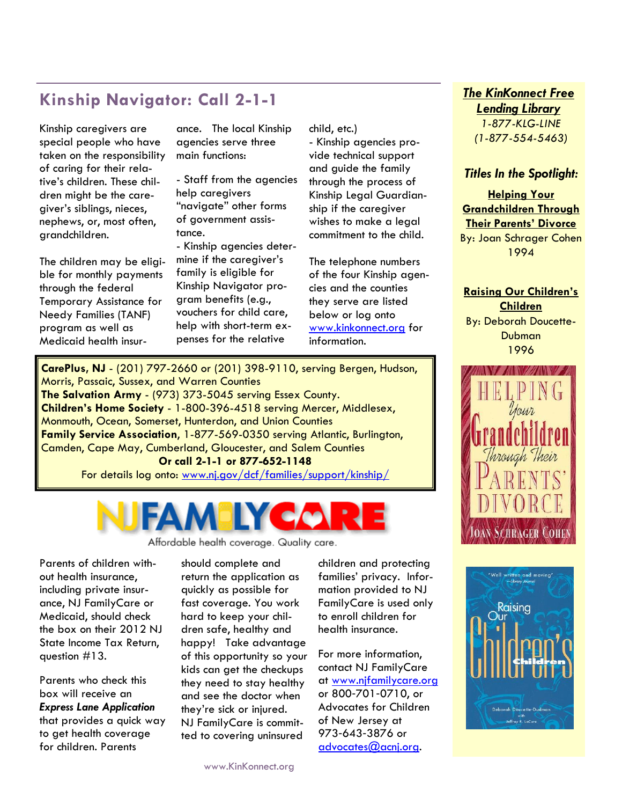## **Kinship Navigator: Call 2-1-1**

Kinship caregivers are special people who have taken on the responsibility of caring for their relative's children. These children might be the caregiver's siblings, nieces, nephews, or, most often, grandchildren.

The children may be eligible for monthly payments through the federal Temporary Assistance for Needy Families (TANF) program as well as Medicaid health insur-

ance. The local Kinship agencies serve three main functions:

- Staff from the agencies help caregivers "navigate" other forms of government assistance.

- Kinship agencies determine if the caregiver's family is eligible for Kinship Navigator program benefits (e.g., vouchers for child care, help with short-term expenses for the relative

child, etc.)

- Kinship agencies provide technical support and guide the family through the process of Kinship Legal Guardianship if the caregiver wishes to make a legal commitment to the child.

The telephone numbers of the four Kinship agencies and the counties they serve are listed below or log onto www.kinkonnect.org for information.

**CarePlus, NJ** - (201) 797-2660 or (201) 398-9110, serving Bergen, Hudson, Morris, Passaic, Sussex, and Warren Counties **The Salvation Army** - (973) 373-5045 serving Essex County. **Children's Home Society** - 1-800-396-4518 serving Mercer, Middlesex, Monmouth, Ocean, Somerset, Hunterdon, and Union Counties **Family Service Association**, 1-877-569-0350 serving Atlantic, Burlington, Camden, Cape May, Cumberland, Gloucester, and Salem Counties **Or call 2-1-1 or 877-652-1148** For details log onto: www.nj.gov/dcf/families/support/kinship/



Affordable health coverage. Quality care.

Parents of children without health insurance, including private insurance, NJ FamilyCare or Medicaid, should check the box on their 2012 NJ State Income Tax Return, question #13.

Parents who check this box will receive an *Express Lane Application*  that provides a quick way to get health coverage for children. Parents

should complete and return the application as quickly as possible for fast coverage. You work hard to keep your children safe, healthy and happy! Take advantage of this opportunity so your kids can get the checkups they need to stay healthy and see the doctor when they're sick or injured. NJ FamilyCare is committed to covering uninsured

children and protecting families' privacy. Information provided to NJ FamilyCare is used only to enroll children for health insurance.

For more information, contact NJ FamilyCare at www.njfamilycare.org or 800‐701‐0710, or Advocates for Children of New Jersey at 973‐643‐3876 or advocates@acnj.org.

## *The KinKonnect Free Lending Library*

*1-877-KLG-LINE (1-877-554-5463)*

### *Titles In the Spotlight:*

**Helping Your Grandchildren Through Their Parents' Divorce** By: Joan Schrager Cohen 1994

**Raising Our Children's Children** By: Deborah Doucette-

**Dubman** 1996